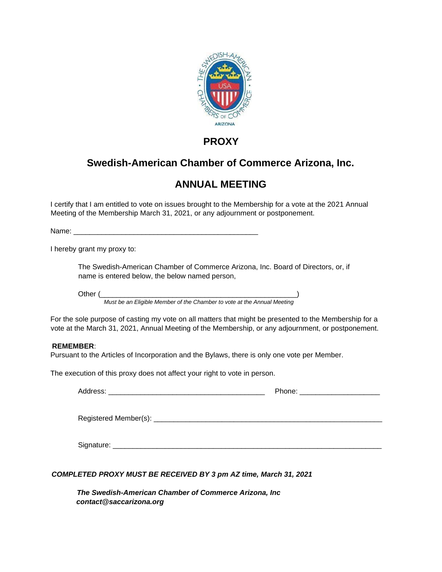

### **PROXY**

# **Swedish-American Chamber of Commerce Arizona, Inc.**

# **ANNUAL MEETING**

I certify that I am entitled to vote on issues brought to the Membership for a vote at the 2021 Annual Meeting of the Membership March 31, 2021, or any adjournment or postponement.

Name: 2008. 2008. 2008. 2008. 2008. 2008. 2009. 2009. 2009. 2009. 2009. 2009. 2009. 2009. 2009. 2009. 2009. 20

I hereby grant my proxy to:

The Swedish-American Chamber of Commerce Arizona, Inc. Board of Directors, or, if name is entered below, the below named person,

Other (\_\_\_\_\_\_\_\_\_\_\_\_\_\_\_\_\_\_\_\_\_\_\_\_\_\_\_\_\_\_\_\_\_\_\_\_\_\_\_\_\_\_\_\_\_\_\_\_\_)

*Must be an Eligible Member of the Chamber to vote at the Annual Meeting* 

For the sole purpose of casting my vote on all matters that might be presented to the Membership for a vote at the March 31, 2021, Annual Meeting of the Membership, or any adjournment, or postponement.

#### **REMEMBER**:

Pursuant to the Articles of Incorporation and the Bylaws, there is only one vote per Member.

The execution of this proxy does not affect your right to vote in person.

|                | Phone: _________________________ |  |
|----------------|----------------------------------|--|
|                |                                  |  |
| Signature: ___ |                                  |  |

#### *COMPLETED PROXY MUST BE RECEIVED BY 3 pm AZ time, March 31, 2021*

*The Swedish-American Chamber of Commerce Arizona, Inc contact@saccarizona.org*